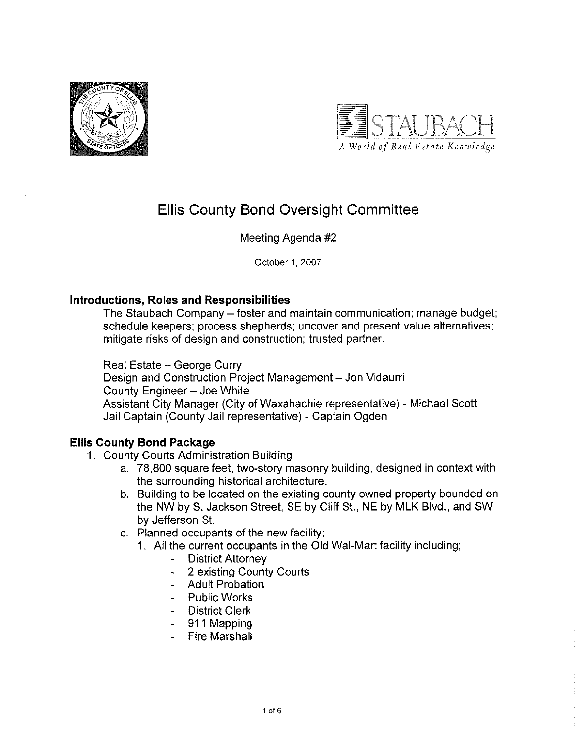



# **Ellis County Bond Oversight Committee**

## Meeting Agenda #2

October 1, 2007

## **Introductions, Roles and Responsibilities**

The Staubach Company – foster and maintain communication; manage budget; schedule keepers; process shepherds; uncover and present value alternatives; mitigate risks of design and construction; trusted partner.

Real Estate - George Curry

Design and Construction Project Management - Jon Vidaurri County Engineer - Joe White Assistant City Manager (City of Waxahachie representative) - Michael Scott Jail Captain (County Jail representative) - Captain Ogden

## **Ellis County Bond Package**

- 1. County Courts Administration Building
	- a. 78,800 square feet, two-story masonry building, designed in context with the surrounding historical architecture.
	- b. Building to be located on the existing county owned property bounded on the NW by S. Jackson Street, SE by Cliff St., NE by MLK Blvd., and SW by Jefferson St.
	- c. Planned occupants of the new facility;
		- 1. All the current occupants in the Old Wal-Mart facility including;
			- **District Attorney**  $\omega_{\rm{eff}}$
			- 2 existing County Courts
			- **Adult Probation**
			- Public Works
			- District Clerk
			- 911 Mapping
			- **Fire Marshall**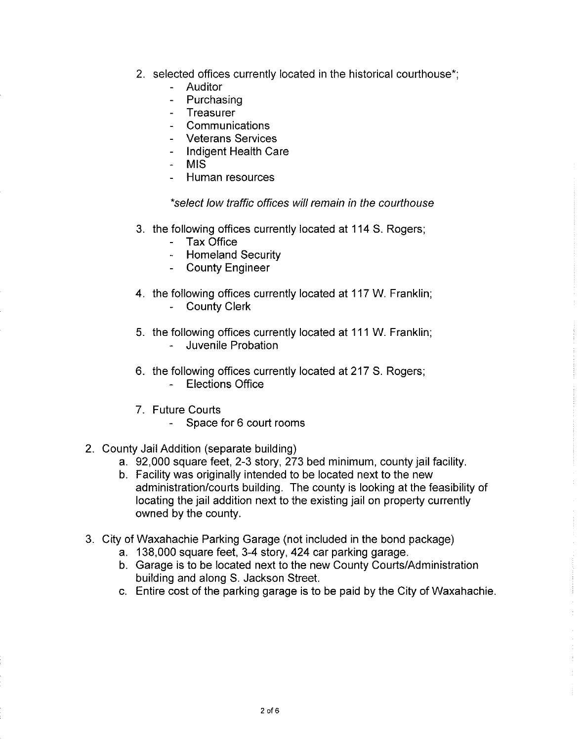- 2. selected offices currently located in the historical courthouse\*;
	- Auditor
	- Purchasing
	- Treasurer  $\mathbf{r}$
	- Communications  $\mathbb{R}^{\mathbb{Z}}$
	- Veterans Services
	- Indigent Health Care
	- **MIS**  $\omega_{\rm{max}}$
	- Human resources

#### \*select low traffic offices will remain in the courthouse

- 3. the following offices currently located at 114 S. Rogers;
	- Tax Office
	- Homeland Security
	- County Engineer
- 4. the following offices currently located at 117 W. Franklin; - County Clerk
- 5. the following offices currently located at 111 W. Franklin;
	- Juvenile Probation
- 6. the following offices currently located at 217 S. Rogers; - Elections Office
- 7. Future Courts
	- Space for 6 court rooms
- 2. County Jail Addition (separate building)
	- a. 92,000 square feet, 2-3 story, 273 bed minimum, county jail facility.
	- b. Facility was originally intended to be located next to the new administration/courts building. The county is looking at the feasibility of locating the jail addition next to the existing jail on property currently owned by the county.
- 3. City of Waxahachie Parking Garage (not included in the bond package)
	- a. 138,000 square feet, 3-4 story, 424 car parking garage.
	- b. Garage is to be located next to the new County Courts/Administration building and along S. Jackson Street.
	- c. Entire cost of the parking garage is to be paid by the City of Waxahachie.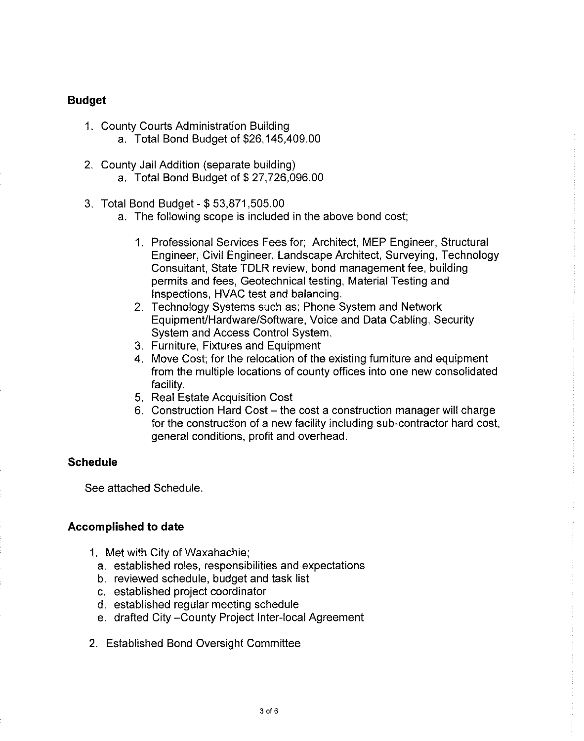### **Budget**

- 1. County Courts Administration Building a. Total Bond Budget of \$26,145,409.00
- 2. County Jail Addition (separate building) a. Total Bond Budget of \$27,726,096.00
- 3. Total Bond Budget \$53,871,505.00
	- a. The following scope is included in the above bond cost;
		- 1. Professional Services Fees for; Architect, MEP Engineer, Structural Engineer, Civil Engineer, Landscape Architect, Surveying, Technology Consultant, State TDLR review, bond management fee, building permits and fees. Geotechnical testing, Material Testing and Inspections, HVAC test and balancing.
		- 2. Technology Systems such as: Phone System and Network Equipment/Hardware/Software, Voice and Data Cabling, Security System and Access Control System.
		- 3. Furniture, Fixtures and Equipment
		- 4. Move Cost; for the relocation of the existing furniture and equipment from the multiple locations of county offices into one new consolidated facility.
		- 5. Real Estate Acquisition Cost
		- 6. Construction Hard Cost the cost a construction manager will charge for the construction of a new facility including sub-contractor hard cost, general conditions, profit and overhead.

#### **Schedule**

See attached Schedule.

#### **Accomplished to date**

- 1. Met with City of Waxahachie;
	- a. established roles, responsibilities and expectations
	- b. reviewed schedule, budget and task list
	- c. established project coordinator
	- d. established regular meeting schedule
	- e. drafted City-County Project Inter-local Agreement
- 2. Established Bond Oversight Committee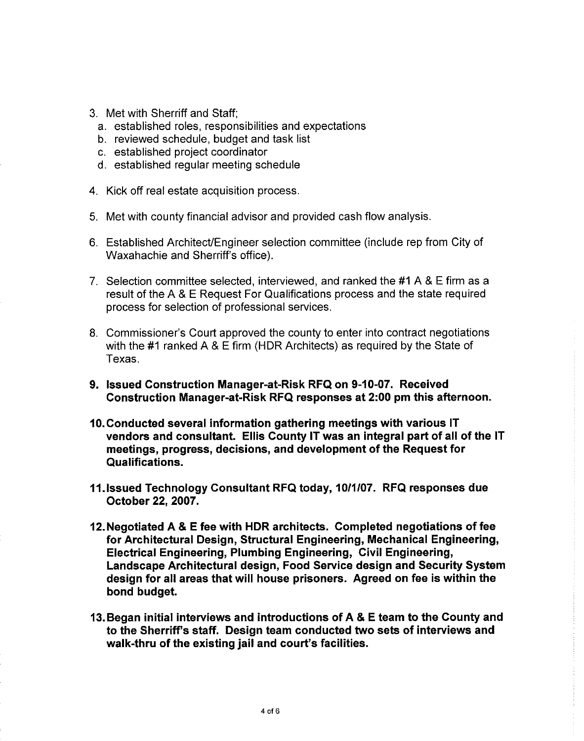- 3. Met with Sherriff and Staff:
	- a. established roles, responsibilities and expectations
	- b. reviewed schedule, budget and task list
	- c. established project coordinator
	- d. established regular meeting schedule
- 4. Kick off real estate acquisition process.
- 5. Met with county financial advisor and provided cash flow analysis.
- 6. Established Architect/Engineer selection committee (include rep from City of Waxahachie and Sherriff's office).
- 7. Selection committee selected, interviewed, and ranked the #1 A & E firm as a result of the A & E Request For Qualifications process and the state required process for selection of professional services.
- 8. Commissioner's Court approved the county to enter into contract negotiations with the #1 ranked A & E firm (HDR Architects) as required by the State of Texas.
- 9. Issued Construction Manager-at-Risk RFQ on 9-10-07. Received Construction Manager-at-Risk RFQ responses at 2:00 pm this afternoon.
- 10. Conducted several information gathering meetings with various IT vendors and consultant. Ellis County IT was an integral part of all of the IT meetings, progress, decisions, and development of the Request for Qualifications.
- 11. Issued Technology Consultant RFQ today, 10/1/07. RFQ responses due October 22, 2007.
- 12. Negotiated A & E fee with HDR architects. Completed negotiations of fee for Architectural Design, Structural Engineering, Mechanical Engineering, Electrical Engineering, Plumbing Engineering, Civil Engineering, Landscape Architectural design, Food Service design and Security System design for all areas that will house prisoners. Agreed on fee is within the bond budget.
- 13. Began initial interviews and introductions of A & E team to the County and to the Sherriff's staff. Design team conducted two sets of interviews and walk-thru of the existing jail and court's facilities.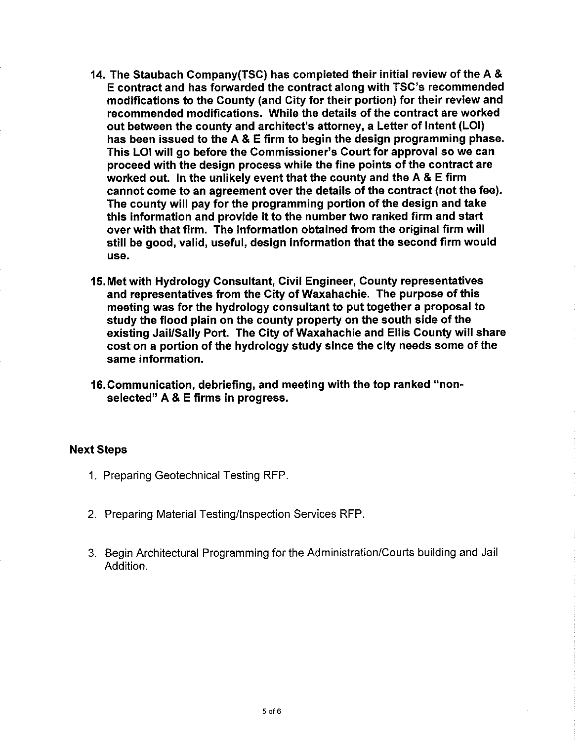- 14. The Staubach Company(TSC) has completed their initial review of the A & E contract and has forwarded the contract along with TSC's recommended modifications to the County (and City for their portion) for their review and recommended modifications. While the details of the contract are worked out between the county and architect's attorney, a Letter of Intent (LOI) has been issued to the A & E firm to begin the design programming phase. This LOI will go before the Commissioner's Court for approval so we can proceed with the design process while the fine points of the contract are worked out. In the unlikely event that the county and the A & E firm cannot come to an agreement over the details of the contract (not the fee). The county will pay for the programming portion of the design and take this information and provide it to the number two ranked firm and start over with that firm. The information obtained from the original firm will still be good, valid, useful, design information that the second firm would use.
- 15. Met with Hydrology Consultant, Civil Engineer, County representatives and representatives from the City of Waxahachie. The purpose of this meeting was for the hydrology consultant to put together a proposal to study the flood plain on the county property on the south side of the existing Jail/Sally Port. The City of Waxahachie and Ellis County will share cost on a portion of the hydrology study since the city needs some of the same information.
- 16. Communication, debriefing, and meeting with the top ranked "nonselected" A & E firms in progress.

#### **Next Steps**

- 1. Preparing Geotechnical Testing RFP.
- 2. Preparing Material Testing/Inspection Services RFP.
- 3. Begin Architectural Programming for the Administration/Courts building and Jail Addition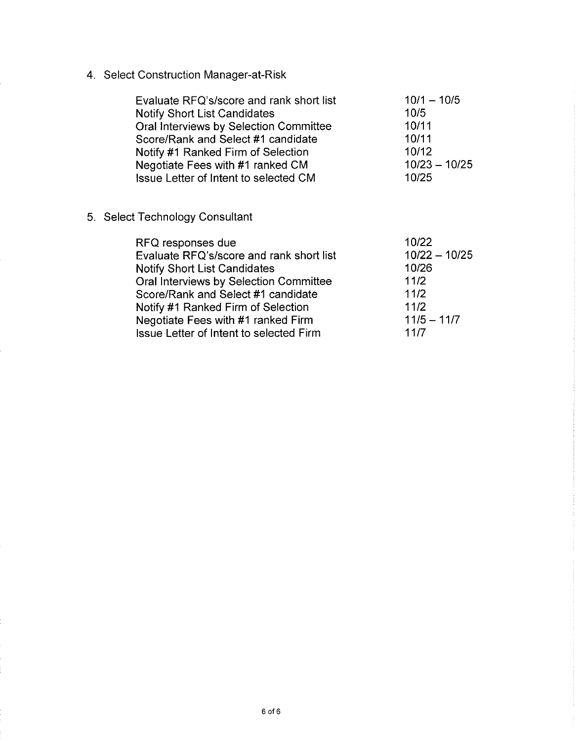4. Select Construction Manager-at-Risk

| Evaluate RFQ's/score and rank short list<br><b>Notify Short List Candidates</b><br>Oral Interviews by Selection Committee<br>Score/Rank and Select #1 candidate<br>Notify #1 Ranked Firm of Selection<br>Negotiate Fees with #1 ranked CM<br>Issue Letter of Intent to selected CM                          | $10/1 - 10/5$<br>10/5<br>10/11<br>10/11<br>10/12<br>$10/23 - 10/25$<br>10/25       |
|-------------------------------------------------------------------------------------------------------------------------------------------------------------------------------------------------------------------------------------------------------------------------------------------------------------|------------------------------------------------------------------------------------|
| 5. Select Technology Consultant                                                                                                                                                                                                                                                                             |                                                                                    |
| RFQ responses due<br>Evaluate RFQ's/score and rank short list<br><b>Notify Short List Candidates</b><br>Oral Interviews by Selection Committee<br>Score/Rank and Select #1 candidate<br>Notify #1 Ranked Firm of Selection<br>Negotiate Fees with #1 ranked Firm<br>Issue Letter of Intent to selected Firm | 10/22<br>$10/22 - 10/25$<br>10/26<br>11/2<br>11/2<br>11/2<br>$11/5 - 11/7$<br>11/7 |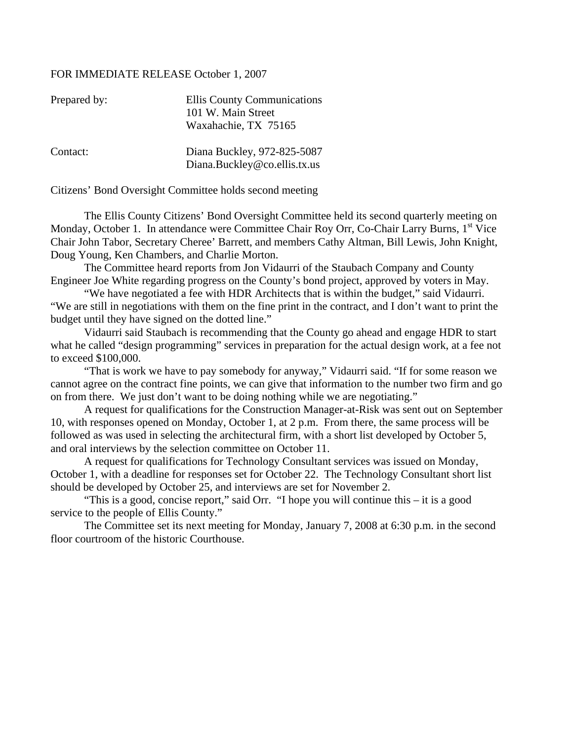#### FOR IMMEDIATE RELEASE October 1, 2007

| Prepared by: | <b>Ellis County Communications</b>                          |
|--------------|-------------------------------------------------------------|
|              | 101 W. Main Street                                          |
|              | Waxahachie, TX 75165                                        |
| Contact:     | Diana Buckley, 972-825-5087<br>Diana.Buckley@co.ellis.tx.us |

Citizens' Bond Oversight Committee holds second meeting

The Ellis County Citizens' Bond Oversight Committee held its second quarterly meeting on Monday, October 1. In attendance were Committee Chair Roy Orr, Co-Chair Larry Burns, 1<sup>st</sup> Vice Chair John Tabor, Secretary Cheree' Barrett, and members Cathy Altman, Bill Lewis, John Knight, Doug Young, Ken Chambers, and Charlie Morton.

 The Committee heard reports from Jon Vidaurri of the Staubach Company and County Engineer Joe White regarding progress on the County's bond project, approved by voters in May.

 "We have negotiated a fee with HDR Architects that is within the budget," said Vidaurri. "We are still in negotiations with them on the fine print in the contract, and I don't want to print the budget until they have signed on the dotted line."

 Vidaurri said Staubach is recommending that the County go ahead and engage HDR to start what he called "design programming" services in preparation for the actual design work, at a fee not to exceed \$100,000.

 "That is work we have to pay somebody for anyway," Vidaurri said. "If for some reason we cannot agree on the contract fine points, we can give that information to the number two firm and go on from there. We just don't want to be doing nothing while we are negotiating."

 A request for qualifications for the Construction Manager-at-Risk was sent out on September 10, with responses opened on Monday, October 1, at 2 p.m. From there, the same process will be followed as was used in selecting the architectural firm, with a short list developed by October 5, and oral interviews by the selection committee on October 11.

 A request for qualifications for Technology Consultant services was issued on Monday, October 1, with a deadline for responses set for October 22. The Technology Consultant short list should be developed by October 25, and interviews are set for November 2.

 "This is a good, concise report," said Orr. "I hope you will continue this – it is a good service to the people of Ellis County."

 The Committee set its next meeting for Monday, January 7, 2008 at 6:30 p.m. in the second floor courtroom of the historic Courthouse.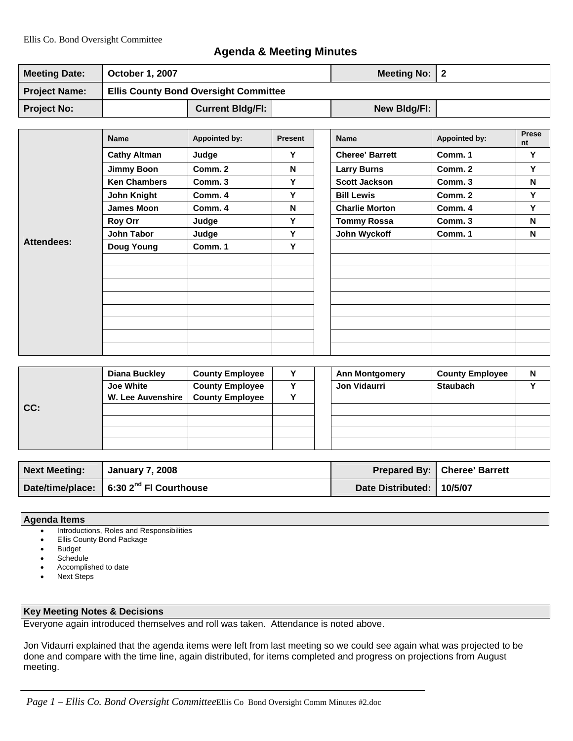## **Agenda & Meeting Minutes**

| <b>Meeting Date:</b> | <b>October 1, 2007</b>                       |  | Meeting No: $ 2 $ |  |
|----------------------|----------------------------------------------|--|-------------------|--|
| <b>Project Name:</b> | <b>Ellis County Bond Oversight Committee</b> |  |                   |  |
| <b>Project No:</b>   | <b>Current Bldg/Fl:</b>                      |  | New Bldg/FI:      |  |

|            | <b>Name</b>         | <b>Appointed by:</b> | <b>Present</b>     | <b>Name</b>            | Appointed by: | Prese<br>nt |
|------------|---------------------|----------------------|--------------------|------------------------|---------------|-------------|
|            | <b>Cathy Altman</b> | Judge                | Υ                  | <b>Cheree' Barrett</b> | Comm. 1       | Y           |
|            | <b>Jimmy Boon</b>   | Comm. 2              | N                  | <b>Larry Burns</b>     | Comm. 2       | Y           |
|            | <b>Ken Chambers</b> | Comm. 3              | Y                  | <b>Scott Jackson</b>   | Comm. 3       | N           |
|            | John Knight         | Comm. 4              | Y                  | <b>Bill Lewis</b>      | Comm. 2       | Y           |
|            | <b>James Moon</b>   | Comm. 4              | N                  | <b>Charlie Morton</b>  | Comm. 4       | Y           |
|            | <b>Roy Orr</b>      | Y<br>Judge           | <b>Tommy Rossa</b> | Comm. 3                | N             |             |
|            | <b>John Tabor</b>   | Judge                | Υ                  | John Wyckoff           | Comm. 1       | N           |
| Attendees: | <b>Doug Young</b>   | Comm. 1              | Y                  |                        |               |             |
|            |                     |                      |                    |                        |               |             |
|            |                     |                      |                    |                        |               |             |
|            |                     |                      |                    |                        |               |             |
|            |                     |                      |                    |                        |               |             |
|            |                     |                      |                    |                        |               |             |
|            |                     |                      |                    |                        |               |             |
|            |                     |                      |                    |                        |               |             |
|            |                     |                      |                    |                        |               |             |

|     | <b>Diana Buckley</b>                | <b>County Employee</b> |  | <b>Ann Montgomery</b> | <b>County Employee</b> | N |
|-----|-------------------------------------|------------------------|--|-----------------------|------------------------|---|
|     | <b>Joe White</b>                    | <b>County Employee</b> |  | <b>Jon Vidaurri</b>   | <b>Staubach</b>        |   |
|     | W. Lee Auvenshire   County Employee |                        |  |                       |                        |   |
| CC: |                                     |                        |  |                       |                        |   |
|     |                                     |                        |  |                       |                        |   |
|     |                                     |                        |  |                       |                        |   |
|     |                                     |                        |  |                       |                        |   |

| <b>Next Meeting:</b> | January 7, 2008                                     |                           | <b>Prepared By:   Cheree' Barrett</b> |
|----------------------|-----------------------------------------------------|---------------------------|---------------------------------------|
|                      | Date/time/place: 6:30 2 <sup>nd</sup> FI Courthouse | Date Distributed: 10/5/07 |                                       |

#### **Agenda Items**

- Introductions, Roles and Responsibilities
- Ellis County Bond Package
- **Budget**
- **Schedule**
- Accomplished to date
- Next Steps

#### **Key Meeting Notes & Decisions**

Everyone again introduced themselves and roll was taken. Attendance is noted above.

Jon Vidaurri explained that the agenda items were left from last meeting so we could see again what was projected to be done and compare with the time line, again distributed, for items completed and progress on projections from August meeting.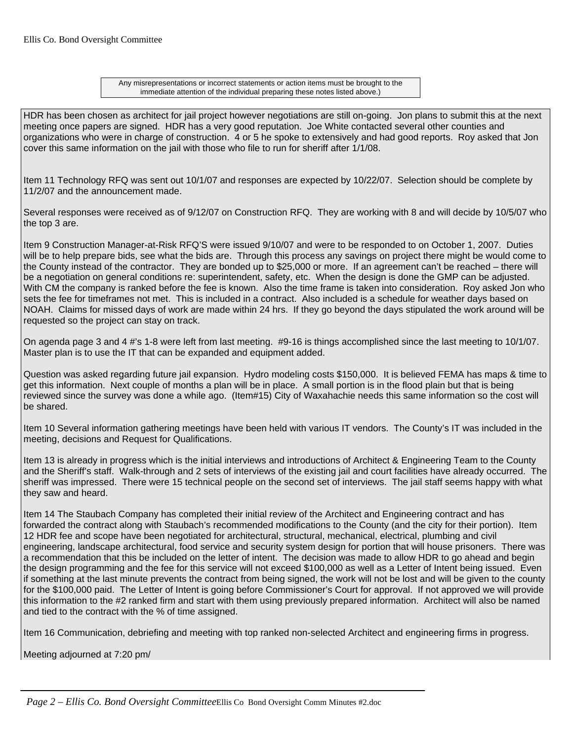Any misrepresentations or incorrect statements or action items must be brought to the immediate attention of the individual preparing these notes listed above.)

HDR has been chosen as architect for jail project however negotiations are still on-going. Jon plans to submit this at the next meeting once papers are signed. HDR has a very good reputation. Joe White contacted several other counties and organizations who were in charge of construction. 4 or 5 he spoke to extensively and had good reports. Roy asked that Jon cover this same information on the jail with those who file to run for sheriff after 1/1/08.

Item 11 Technology RFQ was sent out 10/1/07 and responses are expected by 10/22/07. Selection should be complete by 11/2/07 and the announcement made.

Several responses were received as of 9/12/07 on Construction RFQ. They are working with 8 and will decide by 10/5/07 who the top 3 are.

Item 9 Construction Manager-at-Risk RFQ'S were issued 9/10/07 and were to be responded to on October 1, 2007. Duties will be to help prepare bids, see what the bids are. Through this process any savings on project there might be would come to the County instead of the contractor. They are bonded up to \$25,000 or more. If an agreement can't be reached – there will be a negotiation on general conditions re: superintendent, safety, etc. When the design is done the GMP can be adjusted. With CM the company is ranked before the fee is known. Also the time frame is taken into consideration. Roy asked Jon who sets the fee for timeframes not met. This is included in a contract. Also included is a schedule for weather days based on NOAH. Claims for missed days of work are made within 24 hrs. If they go beyond the days stipulated the work around will be requested so the project can stay on track.

On agenda page 3 and 4 #'s 1-8 were left from last meeting. #9-16 is things accomplished since the last meeting to 10/1/07. Master plan is to use the IT that can be expanded and equipment added.

Question was asked regarding future jail expansion. Hydro modeling costs \$150,000. It is believed FEMA has maps & time to get this information. Next couple of months a plan will be in place. A small portion is in the flood plain but that is being reviewed since the survey was done a while ago. (Item#15) City of Waxahachie needs this same information so the cost will be shared.

Item 10 Several information gathering meetings have been held with various IT vendors. The County's IT was included in the meeting, decisions and Request for Qualifications.

Item 13 is already in progress which is the initial interviews and introductions of Architect & Engineering Team to the County and the Sheriff's staff. Walk-through and 2 sets of interviews of the existing jail and court facilities have already occurred. The sheriff was impressed. There were 15 technical people on the second set of interviews. The jail staff seems happy with what they saw and heard.

Item 14 The Staubach Company has completed their initial review of the Architect and Engineering contract and has forwarded the contract along with Staubach's recommended modifications to the County (and the city for their portion). Item 12 HDR fee and scope have been negotiated for architectural, structural, mechanical, electrical, plumbing and civil engineering, landscape architectural, food service and security system design for portion that will house prisoners. There was a recommendation that this be included on the letter of intent. The decision was made to allow HDR to go ahead and begin the design programming and the fee for this service will not exceed \$100,000 as well as a Letter of Intent being issued. Even if something at the last minute prevents the contract from being signed, the work will not be lost and will be given to the county for the \$100,000 paid. The Letter of Intent is going before Commissioner's Court for approval. If not approved we will provide this information to the #2 ranked firm and start with them using previously prepared information. Architect will also be named and tied to the contract with the % of time assigned.

Item 16 Communication, debriefing and meeting with top ranked non-selected Architect and engineering firms in progress.

Meeting adjourned at 7:20 pm/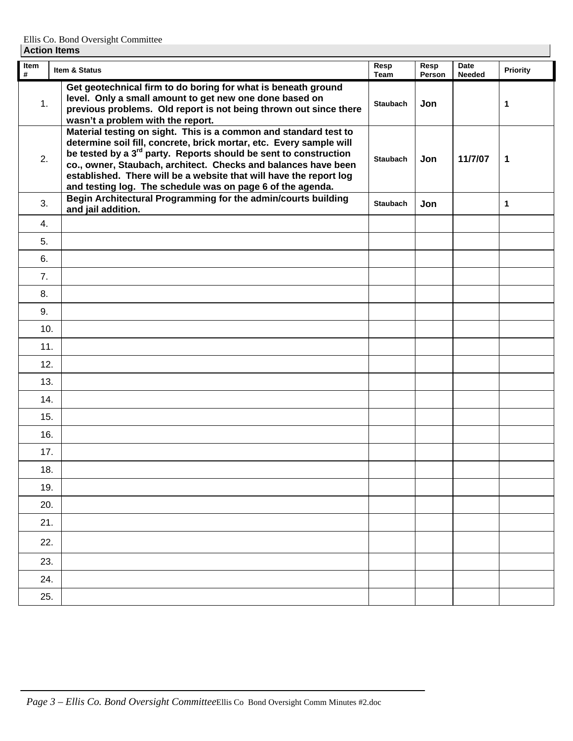| Item<br>$\pmb{\#}$ | Item & Status                                                                                                                                                                                                                                                                                                                                                                                                                 | Resp<br>Team    | Resp<br>Person | Date<br><b>Needed</b> | <b>Priority</b> |
|--------------------|-------------------------------------------------------------------------------------------------------------------------------------------------------------------------------------------------------------------------------------------------------------------------------------------------------------------------------------------------------------------------------------------------------------------------------|-----------------|----------------|-----------------------|-----------------|
| 1.                 | Get geotechnical firm to do boring for what is beneath ground<br>level. Only a small amount to get new one done based on<br>previous problems. Old report is not being thrown out since there<br>wasn't a problem with the report.                                                                                                                                                                                            | <b>Staubach</b> | Jon            |                       | 1               |
| 2.                 | Material testing on sight. This is a common and standard test to<br>determine soil fill, concrete, brick mortar, etc. Every sample will<br>be tested by a 3 <sup>rd</sup> party. Reports should be sent to construction<br>co., owner, Staubach, architect. Checks and balances have been<br>established. There will be a website that will have the report log<br>and testing log. The schedule was on page 6 of the agenda. | <b>Staubach</b> | Jon            | 11/7/07               | 1               |
| 3.                 | Begin Architectural Programming for the admin/courts building<br>and jail addition.                                                                                                                                                                                                                                                                                                                                           | <b>Staubach</b> | Jon            |                       | 1               |
| 4.                 |                                                                                                                                                                                                                                                                                                                                                                                                                               |                 |                |                       |                 |
| 5.                 |                                                                                                                                                                                                                                                                                                                                                                                                                               |                 |                |                       |                 |
| 6.                 |                                                                                                                                                                                                                                                                                                                                                                                                                               |                 |                |                       |                 |
| 7.                 |                                                                                                                                                                                                                                                                                                                                                                                                                               |                 |                |                       |                 |
| 8.                 |                                                                                                                                                                                                                                                                                                                                                                                                                               |                 |                |                       |                 |
| 9.                 |                                                                                                                                                                                                                                                                                                                                                                                                                               |                 |                |                       |                 |
| 10.                |                                                                                                                                                                                                                                                                                                                                                                                                                               |                 |                |                       |                 |
| 11.                |                                                                                                                                                                                                                                                                                                                                                                                                                               |                 |                |                       |                 |
| 12.                |                                                                                                                                                                                                                                                                                                                                                                                                                               |                 |                |                       |                 |
| 13.                |                                                                                                                                                                                                                                                                                                                                                                                                                               |                 |                |                       |                 |
| 14.                |                                                                                                                                                                                                                                                                                                                                                                                                                               |                 |                |                       |                 |
| 15.                |                                                                                                                                                                                                                                                                                                                                                                                                                               |                 |                |                       |                 |
| 16.                |                                                                                                                                                                                                                                                                                                                                                                                                                               |                 |                |                       |                 |
| 17.                |                                                                                                                                                                                                                                                                                                                                                                                                                               |                 |                |                       |                 |
| 18.                |                                                                                                                                                                                                                                                                                                                                                                                                                               |                 |                |                       |                 |
| 19.                |                                                                                                                                                                                                                                                                                                                                                                                                                               |                 |                |                       |                 |
| 20.                |                                                                                                                                                                                                                                                                                                                                                                                                                               |                 |                |                       |                 |
| 21.                |                                                                                                                                                                                                                                                                                                                                                                                                                               |                 |                |                       |                 |
| 22.                |                                                                                                                                                                                                                                                                                                                                                                                                                               |                 |                |                       |                 |
| 23.                |                                                                                                                                                                                                                                                                                                                                                                                                                               |                 |                |                       |                 |
| 24.                |                                                                                                                                                                                                                                                                                                                                                                                                                               |                 |                |                       |                 |
| 25.                |                                                                                                                                                                                                                                                                                                                                                                                                                               |                 |                |                       |                 |